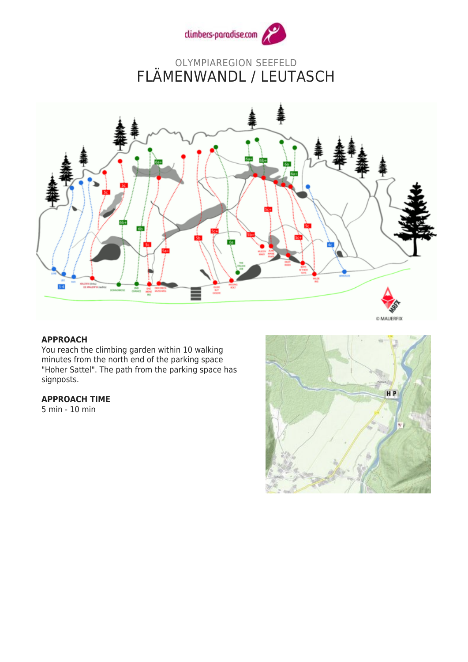

## OLYMPIAREGION SEEFELD FLÄMENWANDL / LEUTASCH



## **APPROACH**

You reach the climbing garden within 10 walking minutes from the north end of the parking space "Hoher Sattel". The path from the parking space has signposts.

## **APPROACH TIME**

5 min - 10 min

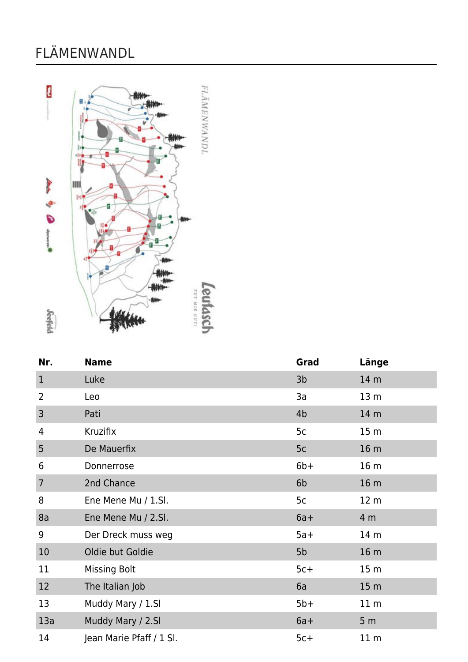## FLÄMENWANDL



| Nr.            | <b>Name</b>              | Grad           | Länge           |
|----------------|--------------------------|----------------|-----------------|
| $\mathbf{1}$   | Luke                     | 3 <sub>b</sub> | 14 m            |
| 2              | Leo                      | 3a             | 13 <sub>m</sub> |
| 3              | Pati                     | 4 <sub>b</sub> | 14 <sub>m</sub> |
| 4              | Kruzifix                 | 5c             | 15 <sub>m</sub> |
| 5              | De Mauerfix              | 5c             | 16 <sub>m</sub> |
| 6              | Donnerrose               | $6b+$          | 16 <sub>m</sub> |
| $\overline{7}$ | 2nd Chance               | 6 <sub>b</sub> | 16 <sub>m</sub> |
| 8              | Ene Mene Mu / 1.Sl.      | 5c             | 12 <sub>m</sub> |
| 8a             | Ene Mene Mu / 2.Sl.      | $6a+$          | 4 m             |
| 9              | Der Dreck muss weg       | $5a+$          | 14 m            |
| 10             | Oldie but Goldie         | 5b             | 16 <sub>m</sub> |
| 11             | <b>Missing Bolt</b>      | $5c+$          | 15 <sub>m</sub> |
| 12             | The Italian Job          | 6a             | 15 <sub>m</sub> |
| 13             | Muddy Mary / 1.SI        | $5b+$          | 11 <sub>m</sub> |
| 13a            | Muddy Mary / 2.SI        | $6a+$          | 5 <sub>m</sub>  |
| 14             | Jean Marie Pfaff / 1 Sl. | $5c+$          | 11 <sub>m</sub> |